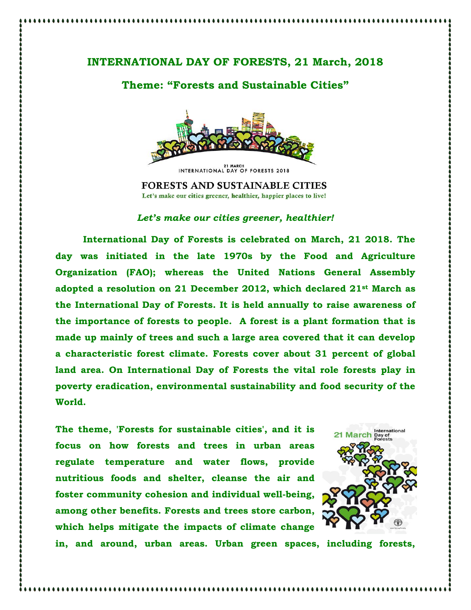## **INTERNATIONAL DAY OF FORESTS, 21 March, 2018**

## **Theme: "Forests and Sustainable Cities"**



**FORESTS AND SUSTAINABLE CITIES** Let's make our cities greener, healthier, happier places to live!

## *Let's make our cities greener, healthier!*

**International Day of Forests is celebrated on March, 21 2018. The day was initiated in the late 1970s by the Food and Agriculture Organization (FAO); whereas the United Nations General Assembly adopted a resolution on 21 December 2012, which declared 21st March as the International Day of Forests. It is held annually to raise awareness of the importance of forests to people. A forest is a plant formation that is made up mainly of trees and such a large area covered that it can develop a characteristic forest climate. Forests cover about 31 percent of global land area. On International Day of Forests the vital role forests play in poverty eradication, environmental sustainability and food security of the World.**

**The theme, 'Forests for sustainable cities', and it is focus on how forests and trees in urban areas regulate temperature and water flows, provide nutritious foods and shelter, cleanse the air and foster community cohesion and individual well-being, among other benefits. Forests and trees store carbon, which helps mitigate the impacts of climate change** 



**in, and around, urban areas. Urban green spaces, including forests,**